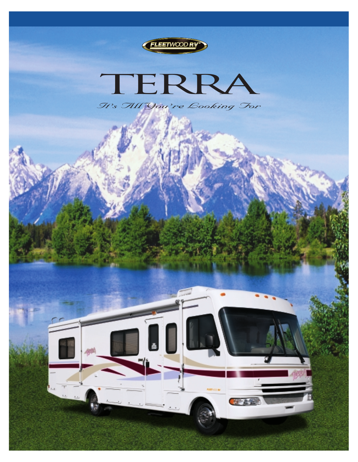



*It's All You're Looking For*

奇形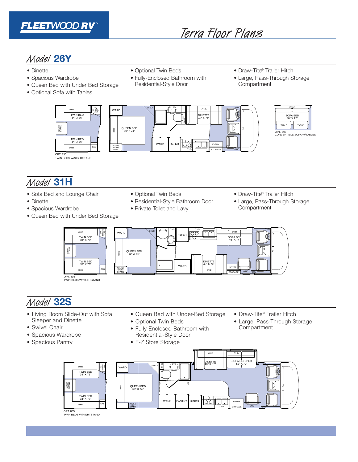

# Terra Floor Plans

# Model **26Y**

- Dinette
- Spacious Wardrobe
- Queen Bed with Under Bed Storage
- Optional Sofa with Tables
- Optional Twin Beds
- Fully-Enclosed Bathroom with Residential-Style Door
- Draw-Tite® Trailer Hitch
- Large, Pass-Through Storage **Compartment**





# Model **31H**

- Sofa Bed and Lounge Chair
- Dinette
- Spacious Wardrobe
- Queen Bed with Under Bed Storage
- Optional Twin Beds
- Residential-Style Bathroom Door
- Private Toilet and Lavy
- Draw-Tite® Trailer Hitch
- Large, Pass-Through Storage **Compartment**



OPT. 835 TWIN BEDS W/NIGHTSTAND

# Model **32S**

- Living Room Slide-Out with Sofa Sleeper and Dinette
- Swivel Chair
- Spacious Wardrobe
- Spacious Pantry
- Queen Bed with Under-Bed Storage
- Optional Twin Beds
- Fully Enclosed Bathroom with Residential-Style Door
- E-Z Store Storage
- Draw-Tite® Trailer Hitch
- Large, Pass-Through Storage **Compartment**

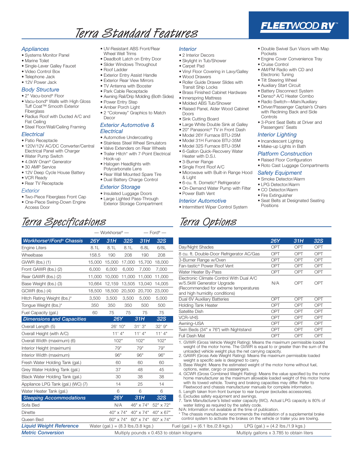# Terra Standard Features

#### *Appliances*

- Systems Monitor Panel
- Marine Toilet
- Single-Lever Galley Faucet
- Video Control Box
- Telephone Jack
- 12V Power Jack

### *Body Structure*

- 2" Vacu-bond® Floor
- Vacu-bond® Walls with High Gloss Tuff Coat™ Smooth Exterior **Fiberalass**
- Radius Roof with Ducted A/C and Flat Ceiling
- Steel Floor/Wall/Ceiling Framing

#### *Electrical*

#### • Patio Receptacle

- 120V/12V AC/DC Converter/Central Electrical Panel with Charger
- Water Pump Switch
- 4.0kW Onan® Generator
- 30 AMP Service
- 12V Deep Cycle House Battery
- VCR Ready
- Rear TV Receptacle

#### *Exterior*

- 
- Two-Piece Fiberglass Front Cap
- One-Piece Swing-Down Engine Access Door
- UV-Resistant ABS Front/Rear Wheel Well Trims
- Deadbolt Latch on Entry Door
- Slider Windows Throughout
- Roof Ladder
- Exterior Entry Assist Handle
- Exterior Rear View Mirrors
- TV Antenna with Booster
- Park Cable Receptacle
- Awning Rail/Drip Molding (Both Sides)
- Power Entry Step
- Amber Porch Light
- 2 "Colorway" Graphics to Match Decor

#### *Exterior Automotive & Electrical*

- Automotive Undercoating
- Stainless Steel Wheel Simulators
- Valve Extenders on Rear Wheels
- Trailer Hitch\* with 7-Point Electrical Hook-up
- Halogen Headlights with
- Polycarbonate Lens
- Rear Wall Mounted Spare Tire
- Dual Battery Charge Control

### *Exterior Storage*

*Workhorse®/Ford® Chassis 26Y 31H 32S 31H 32S* Engine Liters 8.1L 8.1L 8.1L 6.8L 6/8L Wheelbase 158.5 190 208 190 208 GVWR (lbs.) (1) 15,000 15,000 17,000 15,700 18,000 Front GAWR (lbs.) (2) 6,000 6,000 6,000 7,000 7,000 Rear GAWR (lbs.) (2) 11,000 10,000 11,000 11,000 11,000 Base Weight (lbs.) (3) 10,664 12,159 13,505 13,040 14,005 GCWR (lbs.) (4) 18,500 18,500 20,500 20,700 23,000 Hitch Rating Weight (lbs.)\* 3,500 3,500 3,500 5,000 5,000 Tongue Weight (lbs.)\* 350 350 350 500 500 Fuel Capacity (gal.) 60 75 75 75 75 *Dimensions and Capacities 26Y 31H 32S* Overall Length (5) 26' 10" 31' 3" 32' 9" Overall Height (with A/C) 11' 4" 11' 4" 11' 4" 11' 4" Overall Width (maximum) (6) 102" 102" 102" Interior Height (maximum) 79" 79" 79" 79" Interior Width (maximum) 86" 96" 96" 96" Fresh Water Holding Tank (gal.) 60 60 60 Grey Water Holding Tank (gal.) 37 48 45 Black Water Holding Tank (gal.) 30 38 38 Appliance LPG Tank (gal.) (WC) (7) 14 25 14 Water Heater Tank (gal.) 6 6 6 6 6 *Sleeping Accommodations 26Y 31H 32S* Sofa Bed N/A 46" x 74" 52" x 72" Dinette 40" x 74" 40" x 74" 40" x 67"

- Insulated Luggage Doors
- Large Lighted Pass-Through Exterior Storage Compartment
- 

— Workhorse® — — Ford® —

### *Interior*

- 2 Interior Decors
- Skylight in Tub/Shower
- Carpet Pad
- Vinyl Floor Covering in Lavy/Galley
- Wood Drawers
- Roller Guide Drawer Slides with
- Transit Ship Locks • Brass Finished Cabinet Hardware
- Innerspring Mattress
- Molded ABS Tub/Shower • Raised Panel, Alder Wood Cabinet
- Doors
- Sink Cutting Board
- Large White Double Sink at Galley
- 20" Panasonic® TV in Front Dash
- Model 26Y Furnace BTU-25M
- Model 31H Furnace BTU-35M
- Model 32S Furnace BTU-35M • 6-Gallon Quick-Recovery Water
- Heater with D.S.I.
- 3-Burner Range
- Single Front Roof A/C
- Microwave with Built-in Range Hood & Light
- 6-cu. ft. Dometic® Refrigerator
- On-Demand Water Pump with Filter
- Power Bath Vent

#### *Interior Automotive*

• Intermittent Wiper Control System

## Terra Specifications Terra Options

| 26Y | 31H                                                     | 32S                                                                                                                                                                                                                                                                                                                                                                                                      |
|-----|---------------------------------------------------------|----------------------------------------------------------------------------------------------------------------------------------------------------------------------------------------------------------------------------------------------------------------------------------------------------------------------------------------------------------------------------------------------------------|
| OPT | OPT                                                     | OPT                                                                                                                                                                                                                                                                                                                                                                                                      |
| OPT | OPT                                                     | <b>OPT</b>                                                                                                                                                                                                                                                                                                                                                                                               |
| OPT | OPT                                                     | OPT                                                                                                                                                                                                                                                                                                                                                                                                      |
| OPT | OPT                                                     | OPT                                                                                                                                                                                                                                                                                                                                                                                                      |
| OPT | OPT                                                     | OPT                                                                                                                                                                                                                                                                                                                                                                                                      |
| N/A | OPT                                                     | OPT                                                                                                                                                                                                                                                                                                                                                                                                      |
| OPT | OPT                                                     | OPT                                                                                                                                                                                                                                                                                                                                                                                                      |
| OPT | OPT                                                     | OPT                                                                                                                                                                                                                                                                                                                                                                                                      |
| OPT | OPT                                                     | OPT                                                                                                                                                                                                                                                                                                                                                                                                      |
| OPT | OPT                                                     | OPT                                                                                                                                                                                                                                                                                                                                                                                                      |
| OPT | OPT                                                     | OPT                                                                                                                                                                                                                                                                                                                                                                                                      |
| OPT | OPT                                                     | OPT                                                                                                                                                                                                                                                                                                                                                                                                      |
| OPT | OPT                                                     | OPT                                                                                                                                                                                                                                                                                                                                                                                                      |
|     |                                                         | home manufacturer as the maximum allowable loaded weight of this motor home                                                                                                                                                                                                                                                                                                                              |
|     | unloaded vehicle weight plus the net carrying capacity. | 1. GVWR (Gross Vehicle Weight Rating): Means the maximum permissible loaded<br>weight of the motor home. The GVWR is equal to or greater than the sum of the<br>2. GAWR (Gross Axle Weight Rating): Means the maximum permissible loaded<br>3. Base Weight: Means the estimated weight of the motor home without fuel,<br>4. GCWR (Gross Combined Weight Rating): Means the value specified by the motor |

\* The chassis manufacturer recommends the installation of a supplemental brake control system to activate the brakes on the vehicle or trailer you are towing.

| Queen Bed                | $60'' \times 74''$ $60'' \times 74''$ $60'' \times 74''$ |                                   | control system to activate the brakes on the vehicle or trailer you are towing. |
|--------------------------|----------------------------------------------------------|-----------------------------------|---------------------------------------------------------------------------------|
| Liquid Weight Reference  | Water (gal.) = $(8.3 \text{ lbs.}/3.8 \text{ kgs.})$     | Fuel (gal.) = (6.1 lbs./2.8 kgs.) | LPG (gal.) = $(4.2 \text{ lbs.}/1.9 \text{ kgs.})$                              |
| <b>Metric Conversion</b> | Multiply pounds x 0.453 to obtain kilograms              |                                   | Multiply gallons x 3.785 to obtain liters                                       |

• Engine Cover Convenience Tray • Cruise Control • AM/FM Radio with CD and Electronic Tuning

• Double Swivel Sun Visors with Map

**FLEETWOOD RV** 

• Tilt Steering Wheel

Pockets

- Auxiliary Start Circuit
- Battery Disconnect System
- Denso® A/C Heater Combo
- Radio Switch—Main/Auxiliary
- Driver/Passenger Captain's Chairs with Reclining Back and Side **Controls**
- 3-Point Seat Belts at Driver and Passengers' Seats

#### *Interior Lighting*

- Incandescent Lighting
- Make-up Lights in Bath
- *Platform Construction*
- Raised Floor Configuration

• Seat Belts at Designated Seating

• Roto Cast Luggage Compartments

#### *Safety Equipment*

- Smoke Detector/Alarm
- LPG Detector/Alarm
- CO Detector/Alarm
- Fire Extinguisher

Positions